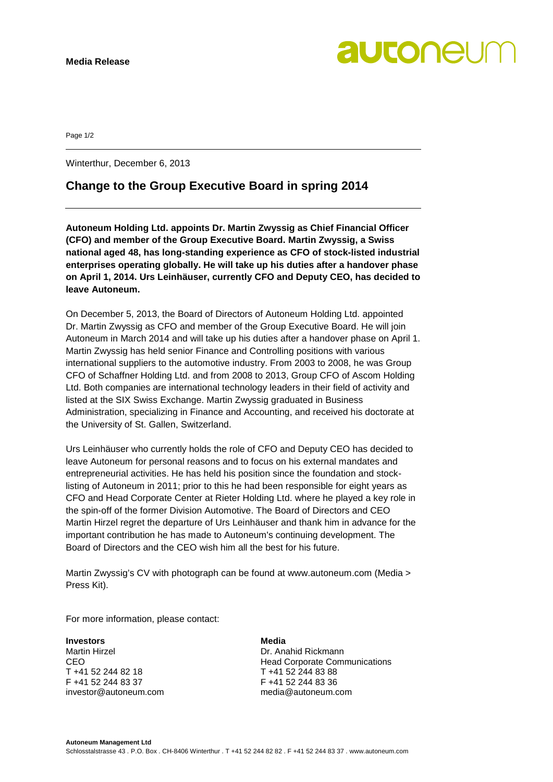autonel

Page 1/2

Winterthur, December 6, 2013

## **Change to the Group Executive Board in spring 2014**

**Autoneum Holding Ltd. appoints Dr. Martin Zwyssig as Chief Financial Officer (CFO) and member of the Group Executive Board. Martin Zwyssig, a Swiss national aged 48, has long-standing experience as CFO of stock-listed industrial enterprises operating globally. He will take up his duties after a handover phase on April 1, 2014. Urs Leinhäuser, currently CFO and Deputy CEO, has decided to leave Autoneum.**

On December 5, 2013, the Board of Directors of Autoneum Holding Ltd. appointed Dr. Martin Zwyssig as CFO and member of the Group Executive Board. He will join Autoneum in March 2014 and will take up his duties after a handover phase on April 1. Martin Zwyssig has held senior Finance and Controlling positions with various international suppliers to the automotive industry. From 2003 to 2008, he was Group CFO of Schaffner Holding Ltd. and from 2008 to 2013, Group CFO of Ascom Holding Ltd. Both companies are international technology leaders in their field of activity and listed at the SIX Swiss Exchange. Martin Zwyssig graduated in Business Administration, specializing in Finance and Accounting, and received his doctorate at the University of St. Gallen, Switzerland.

Urs Leinhäuser who currently holds the role of CFO and Deputy CEO has decided to leave Autoneum for personal reasons and to focus on his external mandates and entrepreneurial activities. He has held his position since the foundation and stocklisting of Autoneum in 2011; prior to this he had been responsible for eight years as CFO and Head Corporate Center at Rieter Holding Ltd. where he played a key role in the spin-off of the former Division Automotive. The Board of Directors and CEO Martin Hirzel regret the departure of Urs Leinhäuser and thank him in advance for the important contribution he has made to Autoneum's continuing development. The Board of Directors and the CEO wish him all the best for his future.

Martin Zwyssig's CV with photograph can be found at [www.autoneum.com](http://www.autoneum.com/) (Media > Press Kit).

For more information, please contact:

### **Investors Media**

Martin Hirzel **Dr. Anahid Rickmann** T +41 52 244 82 18 T +41 52 244 83 88 F +41 52 244 83 37 F +41 52 244 83 36 investor@autoneum.com

CEO **CEO Head Corporate Communications**